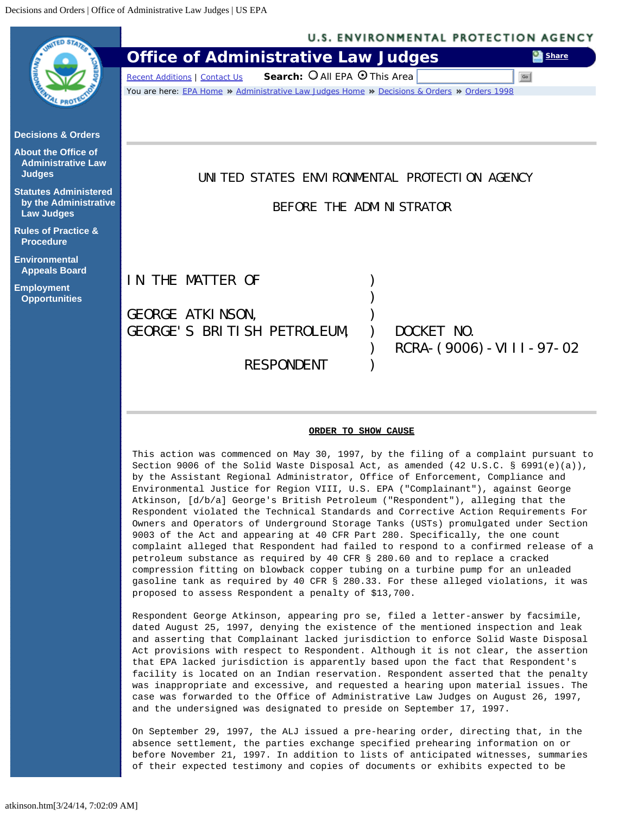<span id="page-0-0"></span>

 by the Assistant Regional Administrator, Office of Enforcement, Compliance and Environmental Justice for Region VIII, U.S. EPA ("Complainant"), against George Atkinson, [d/b/a] George's British Petroleum ("Respondent"), alleging that the Respondent violated the Technical Standards and Corrective Action Requirements For Owners and Operators of Underground Storage Tanks (USTs) promulgated under Section 9003 of the Act and appearing at 40 CFR Part 280. Specifically, the one count complaint alleged that Respondent had failed to respond to a confirmed release of a petroleum substance as required by 40 CFR § 280.60 and to replace a cracked compression fitting on blowback copper tubing on a turbine pump for an unleaded gasoline tank as required by 40 CFR § 280.33. For these alleged violations, it was proposed to assess Respondent a penalty of \$13,700.

Respondent George Atkinson, appearing pro se, filed a letter-answer by facsimile, dated August 25, 1997, denying the existence of the mentioned inspection and leak and asserting that Complainant lacked jurisdiction to enforce Solid Waste Disposal Act provisions with respect to Respondent. Although it is not clear, the assertion that EPA lacked jurisdiction is apparently based upon the fact that Respondent's facility is located on an Indian reservation. Respondent asserted that the penalty was inappropriate and excessive, and requested a hearing upon material issues. The case was forwarded to the Office of Administrative Law Judges on August 26, 1997, and the undersigned was designated to preside on September 17, 1997.

On September 29, 1997, the ALJ issued a pre-hearing order, directing that, in the absence settlement, the parties exchange specified prehearing information on or before November 21, 1997. In addition to lists of anticipated witnesses, summaries of their expected testimony and copies of documents or exhibits expected to be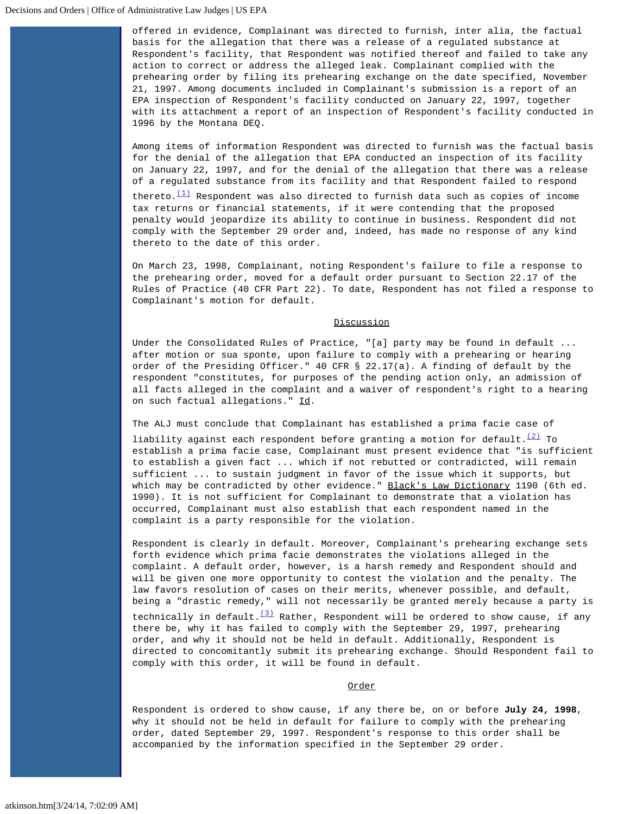offered in evidence, Complainant was directed to furnish, inter alia, the factual basis for the allegation that there was a release of a regulated substance at Respondent's facility, that Respondent was notified thereof and failed to take any action to correct or address the alleged leak. Complainant complied with the prehearing order by filing its prehearing exchange on the date specified, November 21, 1997. Among documents included in Complainant's submission is a report of an EPA inspection of Respondent's facility conducted on January 22, 1997, together with its attachment a report of an inspection of Respondent's facility conducted in 1996 by the Montana DEQ.

Among items of information Respondent was directed to furnish was the factual basis for the denial of the allegation that EPA conducted an inspection of its facility on January 22, 1997, and for the denial of the allegation that there was a release of a regulated substance from its facility and that Respondent failed to respond

thereto. $(1)$  Respondent was also directed to furnish data such as copies of income tax returns or financial statements, if it were contending that the proposed penalty would jeopardize its ability to continue in business. Respondent did not comply with the September 29 order and, indeed, has made no response of any kind thereto to the date of this order.

On March 23, 1998, Complainant, noting Respondent's failure to file a response to the prehearing order, moved for a default order pursuant to Section 22.17 of the Rules of Practice (40 CFR Part 22). To date, Respondent has not filed a response to Complainant's motion for default.

## **Discussion**

Under the Consolidated Rules of Practice, "[a] party may be found in default ... after motion or sua sponte, upon failure to comply with a prehearing or hearing order of the Presiding Officer." 40 CFR § 22.17(a). A finding of default by the respondent "constitutes, for purposes of the pending action only, an admission of all facts alleged in the complaint and a waiver of respondent's right to a hearing on such factual allegations." Id.

The ALJ must conclude that Complainant has established a prima facie case of

liability against each respondent before granting a motion for default. $(2)$  To establish a prima facie case, Complainant must present evidence that "is sufficient to establish a given fact ... which if not rebutted or contradicted, will remain sufficient ... to sustain judgment in favor of the issue which it supports, but which may be contradicted by other evidence." Black's Law Dictionary 1190 (6th ed. 1990). It is not sufficient for Complainant to demonstrate that a violation has occurred, Complainant must also establish that each respondent named in the complaint is a party responsible for the violation.

Respondent is clearly in default. Moreover, Complainant's prehearing exchange sets forth evidence which prima facie demonstrates the violations alleged in the complaint. A default order, however, is a harsh remedy and Respondent should and will be given one more opportunity to contest the violation and the penalty. The law favors resolution of cases on their merits, whenever possible, and default, being a "drastic remedy," will not necessarily be granted merely because a party is technically in default. $(3)$  Rather, Respondent will be ordered to show cause, if any there be, why it has failed to comply with the September 29, 1997, prehearing order, and why it should not be held in default. Additionally, Respondent is directed to concomitantly submit its prehearing exchange. Should Respondent fail to comply with this order, it will be found in default.

## Order

Respondent is ordered to show cause, if any there be, on or before **July 24, 1998**, why it should not be held in default for failure to comply with the prehearing order, dated September 29, 1997. Respondent's response to this order shall be accompanied by the information specified in the September 29 order.